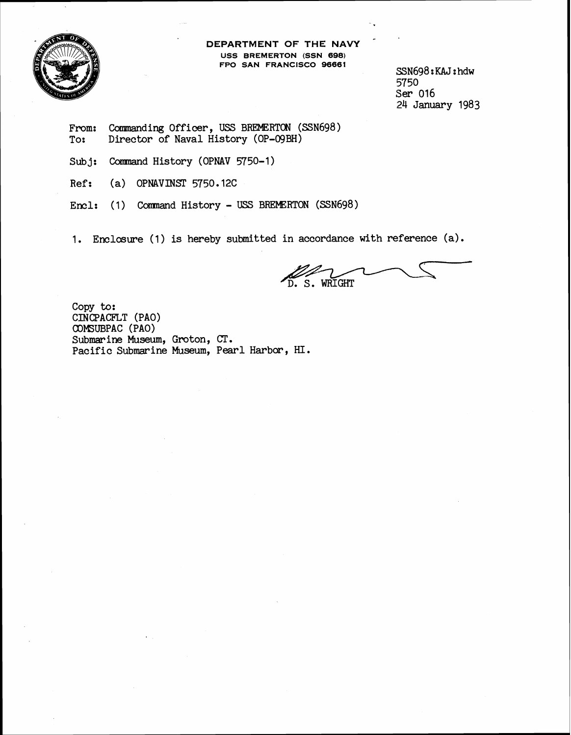

**DEPARTMENT OF THE NAVY USS BREMERTON (SSN 698) FPO SAN FRANCISCO 96661** 

SSN698 : KAJ : hdw 5750 **Ser** 016 ,24 January 1983

- From: Commanding Officer, USS BREMERTON (SSN698)<br>To: Director of Naval History (OP-O9BH) Director of Naval History (OP-09BH)
- Subj: Command History (OPNAV 5750-1)
- Ref: **(a)** OPNAVINST 5750.12C
- Encl: (1) Command History USS BREMERTON (SSN698)

1. Enclosure (1) is hereby submitted in accordance with reference (a).

D. S. WRIGHT

Copy to: CINCPACFLT (PAO) COMsUBPAC (PAO) Submarine Museum, Groton, CT. Pacific Submarine Museum, Pearl **Harbor,** HI.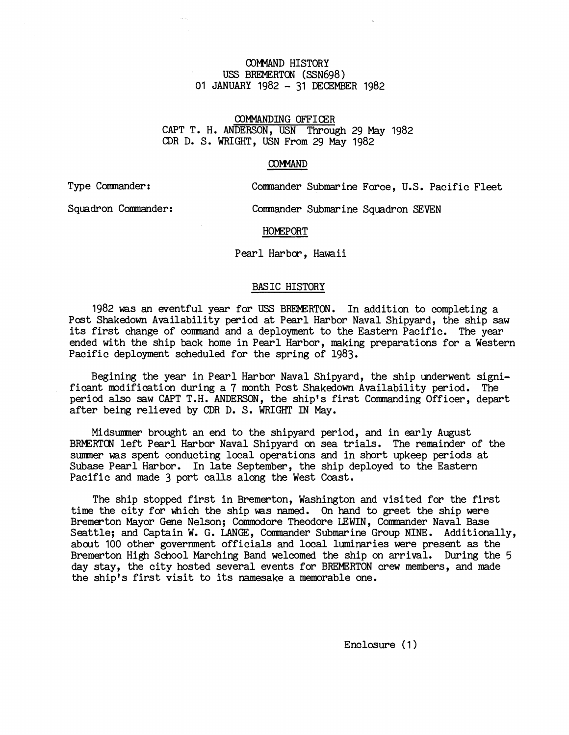# COMMAND HISTORY USS BREMERTON (SSN698) 01 JANUARY 1982 - 31 DECEMBER 1982

# COMMANDING OFFICER CAPT T. H. ANDERSON, USN Through 29 May 1982 CDR D. S. WRIGHT, USN From 29 May 1982

### COMMAND

Type Commander: Comnander Submarine Force, U.S. Pacific Fleet

Squadron Commander: Commander Submarine Squadron SEVEN

### **HOMEPORT**

### Pearl Harbor, Hawaii

### BASIC HISTORY

1982 was an eventful year for USS BREMERTON. In addition to completing a Post Shakedown Availability period at Pearl Harbor Naval Shipyard, the ship saw its first change of command and a deployment to the Eastern Pacific. The year ended with the ship back home in Pearl Harbor, making preparations for a Western Pacific deployment scheduled for the spring of 1983.

Begining the year in Pearl Harbor Naval Shipyard, the ship underwent significant modification during a 7 month Post Shakedown Availability period. The period also saw CAPT T.H. ANDERSON, the ship's first Commanding Officer, depart after being relieved by CDR D. S. WRIGHT IN May.

Midsmer brought an end to the shipyard period, and in early August BMRTCN left Pearl Harbor Naval Shipyard on sea trials. The remainder of the smer was spent conducting local operations and in short upkeep periods at Subase Pearl Harbor. In late September, the ship deployed to the Eastern Pacific and made 3 port calls along the West Coast.

The ship stopped first in Bremerton, Washington and visited for the first time the city for which the ship was named. On hand to greet the ship were Bremerton Mayor Gene Nelson; Commodore Theodore LEWIN, Commander Naval Base Seattle; and Captain W. G. **LANGE,** Commander Submarine Group NINE. Additionally, abcut 100 other government officials and local luminaries were present as the Bremerton High School Marching Band welcomed the ship on arrival. During the 5 day stay, the city hosted several events for BREMERTON crew members, and made the ship's first visit to its namesake a memorable one.

Enclosure ( 1 )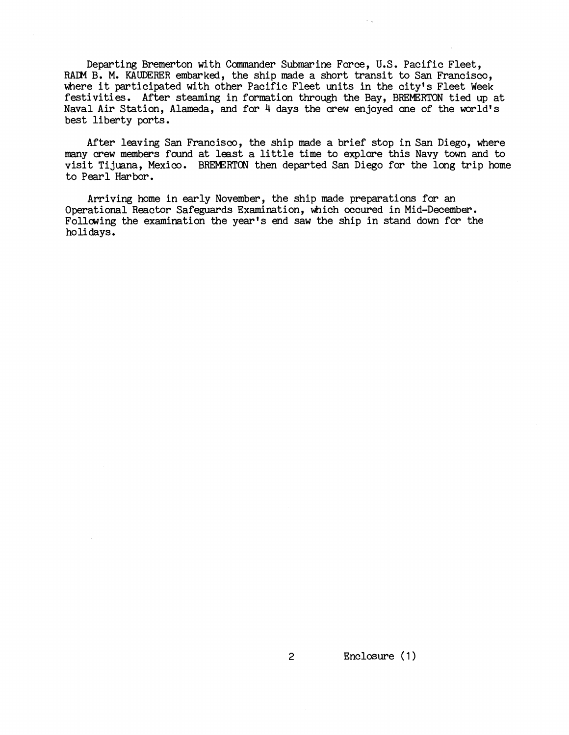Departing Bremerton with Commander Submarine Force, U.S. Pacific Fleet, RAIN B. M. KAUDERER embarked, the ship made a short transit to San Francisco, where it participated with other Pacific Fleet units in the city's Fleet Week festivities. After steaming in formation through the Bay, BREMERTON tied up at Naval Air Station, Alameda, and for 4 days the crew enjoyed one of the world's best liberty ports.

After leaving San Francisco, the ship made a brief stop in San Diego, where many crew members found at least a little time to explore this Navy town and to visit Tijuana, Mexico. BREMERTON then departed San Diego for the long trip home to Pearl Harbor.

Arriving home in early November, the ship made preparations for an Operational Reactor Safeguards Examination, which occured in Mid-December. Follawing the examination the year's end saw the ship in stand down for the holidays.

 $\overline{2}$ 

Enclosure (1)